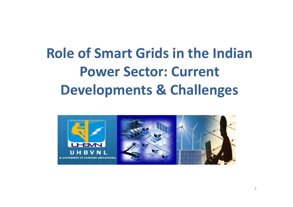# **Role of Smart Grids in the Indian Power Sector: Current Developments & Challenges**

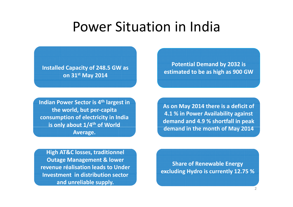## Power Situation in India

**Installed Capacity of 248.5 GW as on 31st May 2014**

**Indian Power Sector is 4th <sup>4</sup> largest in the world, but per‐capita consumption of electricity in India is only about 1/4th of World 2016 s only about 1/4<sup>th</sup> of World demand in the month of May 2014<br>Average.** 

**Potential Demand by 2032 is estimated to be as high as 900 GW**

**As on May 2014 there is <sup>a</sup> deficit of 4.1 % in Power Availability against demand and 4.9 % shortfall in peak demand in the month of M demandin the monthofMay**

 **High AT&C losses. traditionnel Outage Management & lower revenue réalisation leads to Under lnvestment** in distribution sector **excluding Hydro** is currently 12.75 %<br>Investment in distribution sector **and unreliable supply.**

**Share of Renewable Energy**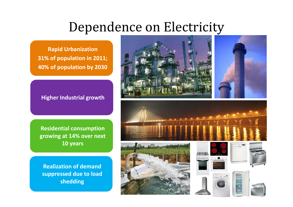## Dependence on Electricity

**Rapid Urbanization 31% of popul i at on in 2011; 40% of population by 2030**

#### **Higher Industrial growth**

**Residential consumption growing at 14% over next 10 years**

**Realization of demand suppressed due to load shedding**







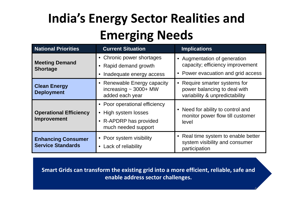# **India's Energy Sector Realities and Emerging Needs**

| <b>National Priorities</b>                            | <b>Current Situation</b>                                                                               | <b>Implications</b>                                                                                    |
|-------------------------------------------------------|--------------------------------------------------------------------------------------------------------|--------------------------------------------------------------------------------------------------------|
| <b>Meeting Demand</b><br><b>Shortage</b>              | • Chronic power shortages<br>Rapid demand growth<br>Inadequate energy access                           | • Augmentation of generation<br>capacity; efficiency improvement<br>• Power evacuation and grid access |
| <b>Clean Energy</b><br><b>Deployment</b>              | • Renewable Energy capacity<br>increasing $\sim$ 3000+ MW<br>added each year                           | • Require smarter systems for<br>power balancing to deal with<br>variability & unpredictability        |
| <b>Operational Efficiency</b><br>Improvement          | • Poor operational efficiency<br>• High system losses<br>• R-APDRP has provided<br>much needed support | Need for ability to control and<br>monitor power flow till customer<br>level                           |
| <b>Enhancing Consumer</b><br><b>Service Standards</b> | • Poor system visibility<br>Lack of reliability<br>$\bullet$                                           | • Real time system to enable better<br>system visibility and consumer<br>participation                 |

**Smart Grids can transform the existing grid into <sup>a</sup> more efficient, reliable, safe and enable address sector challenges.**

4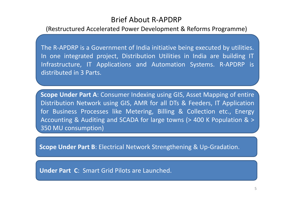#### Brief About R‐APDRP

#### (Restructured Accelerated Power Development & Reforms Programme)

The R-APDRP is a Government of India initiative being executed by utilities. In one integrated project, Distribution Utilities in India are building IT Infrastructure, IT Applications and Automation Systems. R‐APDRP is distributed in 3 Parts.

**Scope Under Part A**: Consumer Indexing using GIS, Asset Mapping of entire Distribution Network using GIS, AMR for all DTs & Feeders, IT Application for Business Processes like Metering, Billing & Collection etc., Energy Accounting & Auditing and SCADA for large towns (> 400 K Population & <sup>&</sup>gt; 350 MU consumption)

**Scope Under Part B: Electrical Network Strengthening & Up-Gradation.** 

**Under Part C**: Smart Grid Pilots are Launched.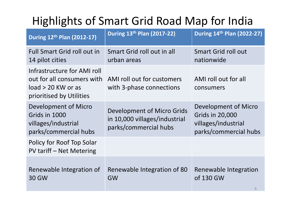## Highlights of Smart Grid Road Map for India

| During 12th Plan (2012-17)                                                                                    | During 13th Plan (2017-22)                                                           | During 14th Plan (2022-27)                                                                     |
|---------------------------------------------------------------------------------------------------------------|--------------------------------------------------------------------------------------|------------------------------------------------------------------------------------------------|
| <b>Full Smart Grid roll out in</b><br>14 pilot cities                                                         | Smart Grid roll out in all<br>urban areas                                            | <b>Smart Grid roll out</b><br>nationwide                                                       |
| Infrastructure for AMI roll<br>out for all consumers with<br>$load > 20$ KW or as<br>prioritised by Utilities | AMI roll out for customers<br>with 3-phase connections                               | AMI roll out for all<br>consumers                                                              |
| Development of Micro<br>Grids in 1000<br>villages/industrial<br>parks/commercial hubs                         | Development of Micro Grids<br>in 10,000 villages/industrial<br>parks/commercial hubs | Development of Micro<br><b>Grids in 20,000</b><br>villages/industrial<br>parks/commercial hubs |
| Policy for Roof Top Solar<br><b>PV tariff - Net Metering</b>                                                  |                                                                                      |                                                                                                |
| Renewable Integration of<br><b>30 GW</b>                                                                      | Renewable Integration of 80<br><b>GW</b>                                             | Renewable Integration<br>of 130 GW<br>6                                                        |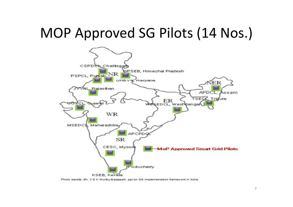## MOP Approved SG Pilots (14 Nos.)



Photo credits: Sh. V S K Murthy Balijepalli, ppt on SG implementation framework in India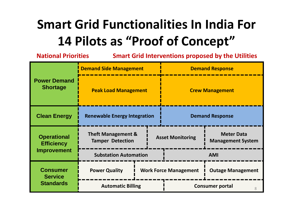# **Smart Grid Functionalities In India For 14 Pilots as "Proof of Concept"**

| <b>National Priorities</b>                            |                                                          |                              |                        |                          | <b>Smart Grid Interventions proposed by the Utilities</b> |
|-------------------------------------------------------|----------------------------------------------------------|------------------------------|------------------------|--------------------------|-----------------------------------------------------------|
|                                                       | <b>Demand Side Management</b>                            |                              | <b>Demand Response</b> |                          |                                                           |
| <b>Power Demand</b><br><b>Shortage</b>                | <b>Peak Load Management</b>                              |                              |                        |                          | <b>Crew Management</b>                                    |
| <b>Clean Energy</b>                                   | <b>Renewable Energy Integration</b>                      |                              |                        | <b>Demand Response</b>   |                                                           |
| <b>Operational</b><br><b>Efficiency</b>               | <b>Theft Management &amp;</b><br><b>Tamper Detection</b> |                              |                        | <b>Asset Monitoring</b>  | <b>Meter Data</b><br><b>Management System</b>             |
| Improvement                                           |                                                          | <b>Substation Automation</b> |                        | <b>AMI</b>               |                                                           |
| <b>Consumer</b><br><b>Service</b><br><b>Standards</b> | <b>Power Quality</b>                                     | <b>Work Force Management</b> |                        | <b>Outage Management</b> |                                                           |
|                                                       |                                                          | <b>Automatic Billing</b>     |                        |                          | <b>Consumer portal</b><br>8                               |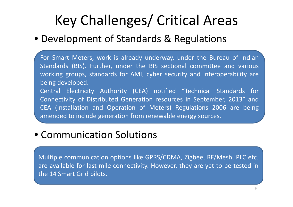# Key Challenges/ Critical Areas

## • Development of Standards & Regulations

For Smart Meters, work is already underway, under the Bureau of Indian Standards (BIS). Further, under the BIS sectional committee and various working groups, standards for AMI, cyber security and interoperability are being developed.

Central Electricity Authority (CEA) notified "Technical Standards for Connectivity of Distributed Generation resources in September, 2013" and CEA (Installation and Operation of Meters) Regulations 2006 are being amended to include generation from renewable energy sources.

## • Communication Solutions

Multiple communication options like GPRS/CDMA, Zigbee, RF/Mesh, PLC etc. are available for last mile connectivity. However, they are yet to be tested in the 14 Smart Grid pilots.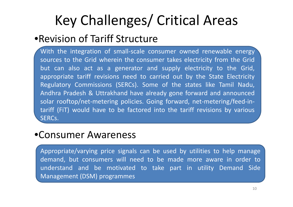# Key Challenges/ Critical Areas

## •Revision of Tariff Structure

With the integration of small-scale consumer owned renewable energy sources to the Grid wherein the consumer takes electricity from the Grid but can also act as <sup>a</sup> generator and supply electricity to the Grid, appropriate tariff revisions need to carried out by the State Electricity Regulatory Commissions (SERCs). Some of the states like Tamil Nadu, Andhra Pradesh & Uttrakhand have already gone forward and announced solar rooftop/net-metering policies. Going forward, net-metering/feed-intariff (FiT) would have to be factored into the tariff revisions by various SERCs.

## •Consumer Awareness

Appropriate/varying price signals can be used by utilities to help manage demand, but consumers will need to be made more aware in order to understand and be motivated to take part in utility Demand Side Management (DSM) programmes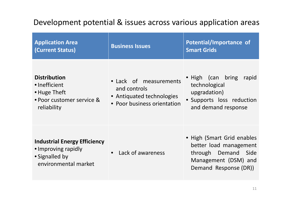## Development potential & issues across various application areas

| <b>Application Area</b><br>(Current Status)                                                          | <b>Business Issues</b>                                                                             | Potential/Importance of<br><b>Smart Grids</b>                                                                                   |
|------------------------------------------------------------------------------------------------------|----------------------------------------------------------------------------------------------------|---------------------------------------------------------------------------------------------------------------------------------|
| <b>Distribution</b><br>• Inefficient<br>• Huge Theft<br>• Poor customer service &<br>reliability     | • Lack of measurements<br>and controls<br>• Antiquated technologies<br>• Poor business orientation | • High (can bring<br>rapid<br>technological<br>upgradation)<br>• Supports loss reduction<br>and demand response                 |
| <b>Industrial Energy Efficiency</b><br>• Improving rapidly<br>• Signalled by<br>environmental market | Lack of awareness                                                                                  | • High (Smart Grid enables<br>better load management<br>through Demand<br>Side<br>Management (DSM) and<br>Demand Response (DR)) |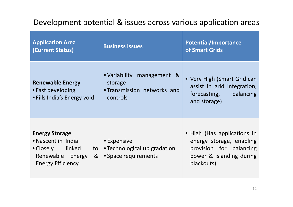### Development potential & issues across various application areas

| <b>Application Area</b><br>(Current Status)                                                                          | <b>Business Issues</b>                                                           | <b>Potential/Importance</b><br>of Smart Grids                                                                                |
|----------------------------------------------------------------------------------------------------------------------|----------------------------------------------------------------------------------|------------------------------------------------------------------------------------------------------------------------------|
| <b>Renewable Energy</b><br>• Fast developing<br>• Fills India's Energy void                                          | • Variability management &<br>storage<br>• Transmission networks and<br>controls | • Very High (Smart Grid can<br>assist in grid integration,<br>forecasting,<br>balancing<br>and storage)                      |
| <b>Energy Storage</b><br>• Nascent in India<br>• Closely linked<br>&<br>Renewable Energy<br><b>Energy Efficiency</b> | • Expensive<br>to • Technological up gradation<br>• Space requirements           | • High (Has applications in<br>energy storage, enabling<br>provision for balancing<br>power & islanding during<br>blackouts) |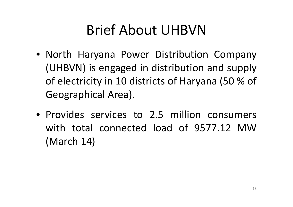# Brief About UHBVN

- North Haryana Power Distribution Company (UHBVN) is engaged in distribution and supply of electricity in 10 districts of Haryana (50 % of Geographical Area).
- Provides services to 2.5 million consumerswith total connected load of 9577.12 MW(March 14)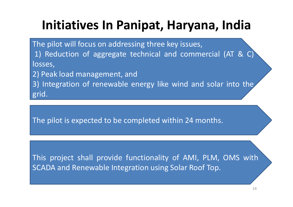# **Initiatives In Panipat, Haryana, India**

The pilot will focus on addressing three key issues, 1) Reduction of aggregate technical and commercial (AT & C) losses,

2) Peak load management, and

3) Integration of renewable energy like wind and solar into the grid.

The pilot is expected to be completed within 24 months.

This project shall provide functionality of AMI, PLM, OMS with SCADA and Renewable Integration using Solar Roof Top.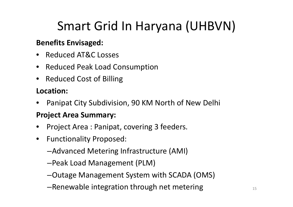# Smart Grid In Haryana (UHBVN)

#### **Benefits Envisaged:**

- Reduced AT&C Losses
- Reduced Peak Load Consumption
- Reduced Cost of Billing

### **Location:**

•Panipat City Subdivision, 90 KM North of New Delhi

#### **Project Area Summary:**

- •Project Area : Panipat, covering 3 feeders.
- $\bullet$  Functionality Proposed:
	- –Advanced Metering Infrastructure (AMI)
	- –Peak Load Management (PLM)
	- –Outage Management System with SCADA (OMS)
	- $-$ Renewable integration through net metering  $15$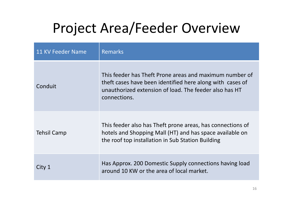# Project Area/Feeder Overview

| 11 KV Feeder Name  | <b>Remarks</b>                                                                                                                                                                                 |
|--------------------|------------------------------------------------------------------------------------------------------------------------------------------------------------------------------------------------|
| Conduit            | This feeder has Theft Prone areas and maximum number of<br>theft cases have been identified here along with cases of<br>unauthorized extension of load. The feeder also has HT<br>connections. |
| <b>Tehsil Camp</b> | This feeder also has Theft prone areas, has connections of<br>hotels and Shopping Mall (HT) and has space available on<br>the roof top installation in Sub Station Building                    |
| City 1             | Has Approx. 200 Domestic Supply connections having load<br>around 10 KW or the area of local market.                                                                                           |